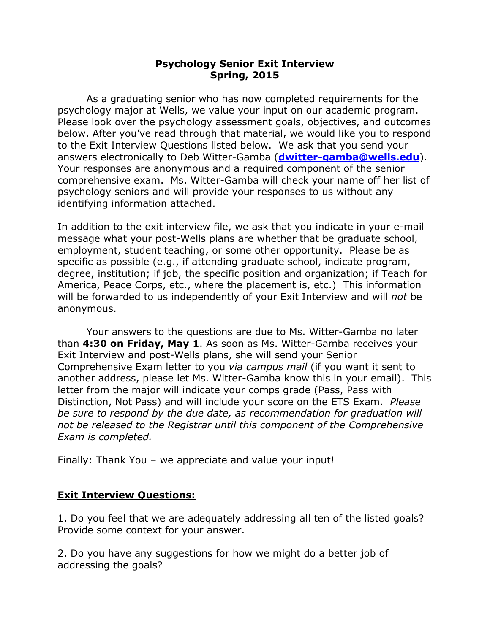# **Psychology Senior Exit Interview Spring, 2015**

As a graduating senior who has now completed requirements for the psychology major at Wells, we value your input on our academic program. Please look over the psychology assessment goals, objectives, and outcomes below. After you've read through that material, we would like you to respond to the Exit Interview Questions listed below. We ask that you send your answers electronically to Deb Witter-Gamba (**[dwitter-gamba@wells.edu](mailto:dwitter-gamba@wells.edu)**). Your responses are anonymous and a required component of the senior comprehensive exam. Ms. Witter-Gamba will check your name off her list of psychology seniors and will provide your responses to us without any identifying information attached.

In addition to the exit interview file, we ask that you indicate in your e-mail message what your post-Wells plans are whether that be graduate school, employment, student teaching, or some other opportunity. Please be as specific as possible (e.g., if attending graduate school, indicate program, degree, institution; if job, the specific position and organization; if Teach for America, Peace Corps, etc., where the placement is, etc.) This information will be forwarded to us independently of your Exit Interview and will *not* be anonymous.

Your answers to the questions are due to Ms. Witter-Gamba no later than **4:30 on Friday, May 1**. As soon as Ms. Witter-Gamba receives your Exit Interview and post-Wells plans, she will send your Senior Comprehensive Exam letter to you *via campus mail* (if you want it sent to another address, please let Ms. Witter-Gamba know this in your email). This letter from the major will indicate your comps grade (Pass, Pass with Distinction, Not Pass) and will include your score on the ETS Exam. *Please be sure to respond by the due date, as recommendation for graduation will not be released to the Registrar until this component of the Comprehensive Exam is completed.* 

Finally: Thank You – we appreciate and value your input!

## **Exit Interview Questions:**

1. Do you feel that we are adequately addressing all ten of the listed goals? Provide some context for your answer.

2. Do you have any suggestions for how we might do a better job of addressing the goals?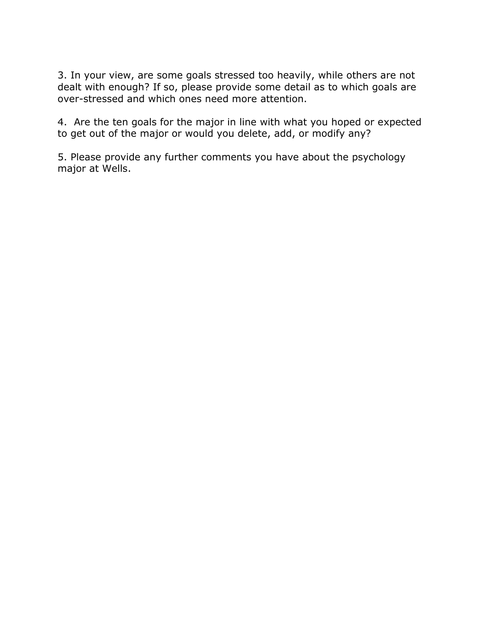3. In your view, are some goals stressed too heavily, while others are not dealt with enough? If so, please provide some detail as to which goals are over-stressed and which ones need more attention.

4. Are the ten goals for the major in line with what you hoped or expected to get out of the major or would you delete, add, or modify any?

5. Please provide any further comments you have about the psychology major at Wells.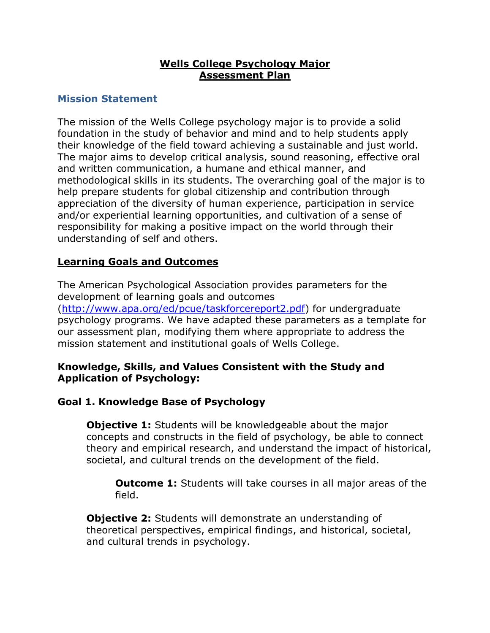# **Wells College Psychology Major Assessment Plan**

# **Mission Statement**

The mission of the Wells College psychology major is to provide a solid foundation in the study of behavior and mind and to help students apply their knowledge of the field toward achieving a sustainable and just world. The major aims to develop critical analysis, sound reasoning, effective oral and written communication, a humane and ethical manner, and methodological skills in its students. The overarching goal of the major is to help prepare students for global citizenship and contribution through appreciation of the diversity of human experience, participation in service and/or experiential learning opportunities, and cultivation of a sense of responsibility for making a positive impact on the world through their understanding of self and others.

# **Learning Goals and Outcomes**

The American Psychological Association provides parameters for the development of learning goals and outcomes [\(http://www.apa.org/ed/pcue/taskforcereport2.pdf\)](http://www.apa.org/ed/pcue/taskforcereport2.pdf) for undergraduate psychology programs. We have adapted these parameters as a template for our assessment plan, modifying them where appropriate to address the mission statement and institutional goals of Wells College.

## **Knowledge, Skills, and Values Consistent with the Study and Application of Psychology:**

# **Goal 1. Knowledge Base of Psychology**

**Objective 1:** Students will be knowledgeable about the major concepts and constructs in the field of psychology, be able to connect theory and empirical research, and understand the impact of historical, societal, and cultural trends on the development of the field.

**Outcome 1:** Students will take courses in all major areas of the field.

**Objective 2:** Students will demonstrate an understanding of theoretical perspectives, empirical findings, and historical, societal, and cultural trends in psychology.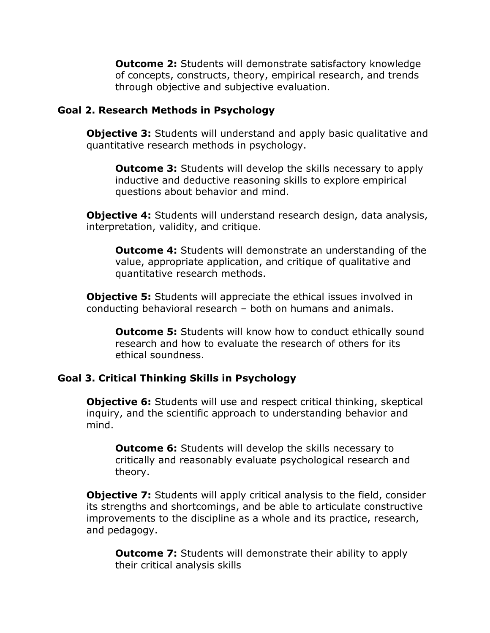**Outcome 2:** Students will demonstrate satisfactory knowledge of concepts, constructs, theory, empirical research, and trends through objective and subjective evaluation.

#### **Goal 2. Research Methods in Psychology**

**Objective 3:** Students will understand and apply basic qualitative and quantitative research methods in psychology.

**Outcome 3:** Students will develop the skills necessary to apply inductive and deductive reasoning skills to explore empirical questions about behavior and mind.

**Objective 4:** Students will understand research design, data analysis, interpretation, validity, and critique.

**Outcome 4:** Students will demonstrate an understanding of the value, appropriate application, and critique of qualitative and quantitative research methods.

**Objective 5:** Students will appreciate the ethical issues involved in conducting behavioral research – both on humans and animals.

**Outcome 5:** Students will know how to conduct ethically sound research and how to evaluate the research of others for its ethical soundness.

## **Goal 3. Critical Thinking Skills in Psychology**

**Objective 6:** Students will use and respect critical thinking, skeptical inquiry, and the scientific approach to understanding behavior and mind.

**Outcome 6:** Students will develop the skills necessary to critically and reasonably evaluate psychological research and theory.

**Objective 7:** Students will apply critical analysis to the field, consider its strengths and shortcomings, and be able to articulate constructive improvements to the discipline as a whole and its practice, research, and pedagogy.

**Outcome 7:** Students will demonstrate their ability to apply their critical analysis skills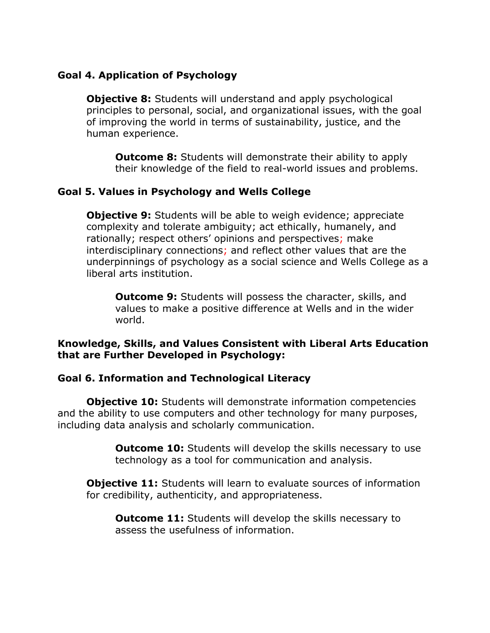# **Goal 4. Application of Psychology**

**Objective 8:** Students will understand and apply psychological principles to personal, social, and organizational issues, with the goal of improving the world in terms of sustainability, justice, and the human experience.

**Outcome 8:** Students will demonstrate their ability to apply their knowledge of the field to real-world issues and problems.

# **Goal 5. Values in Psychology and Wells College**

**Objective 9:** Students will be able to weigh evidence; appreciate complexity and tolerate ambiguity; act ethically, humanely, and rationally; respect others' opinions and perspectives; make interdisciplinary connections; and reflect other values that are the underpinnings of psychology as a social science and Wells College as a liberal arts institution.

**Outcome 9:** Students will possess the character, skills, and values to make a positive difference at Wells and in the wider world.

## **Knowledge, Skills, and Values Consistent with Liberal Arts Education that are Further Developed in Psychology:**

## **Goal 6. Information and Technological Literacy**

**Objective 10:** Students will demonstrate information competencies and the ability to use computers and other technology for many purposes, including data analysis and scholarly communication.

> **Outcome 10:** Students will develop the skills necessary to use technology as a tool for communication and analysis.

**Objective 11:** Students will learn to evaluate sources of information for credibility, authenticity, and appropriateness.

**Outcome 11:** Students will develop the skills necessary to assess the usefulness of information.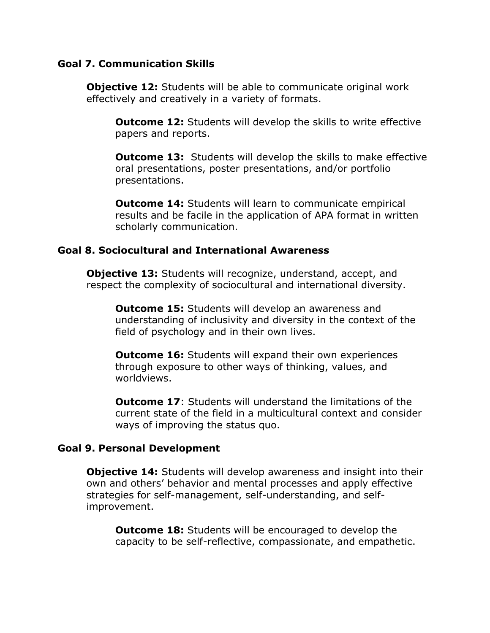#### **Goal 7. Communication Skills**

**Objective 12:** Students will be able to communicate original work effectively and creatively in a variety of formats.

**Outcome 12:** Students will develop the skills to write effective papers and reports.

**Outcome 13:** Students will develop the skills to make effective oral presentations, poster presentations, and/or portfolio presentations.

**Outcome 14: Students will learn to communicate empirical** results and be facile in the application of APA format in written scholarly communication.

#### **Goal 8. Sociocultural and International Awareness**

**Objective 13:** Students will recognize, understand, accept, and respect the complexity of sociocultural and international diversity.

**Outcome 15:** Students will develop an awareness and understanding of inclusivity and diversity in the context of the field of psychology and in their own lives.

**Outcome 16:** Students will expand their own experiences through exposure to other ways of thinking, values, and worldviews.

**Outcome 17**: Students will understand the limitations of the current state of the field in a multicultural context and consider ways of improving the status quo.

#### **Goal 9. Personal Development**

**Objective 14:** Students will develop awareness and insight into their own and others' behavior and mental processes and apply effective strategies for self-management, self-understanding, and selfimprovement.

**Outcome 18:** Students will be encouraged to develop the capacity to be self-reflective, compassionate, and empathetic.